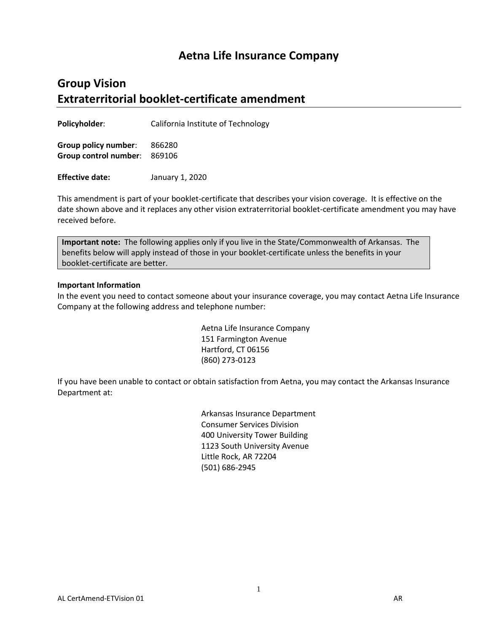## **Aetna Life Insurance Company**

# **Group Vision Extraterritorial booklet-certificate amendment**

**Policyholder**: California Institute of Technology

**Group policy number**: 866280 **Group control number**: 869106

**Effective date:** January 1, 2020

This amendment is part of your booklet-certificate that describes your vision coverage. It is effective on the date shown above and it replaces any other vision extraterritorial booklet-certificate amendment you may have received before.

**Important note:** The following applies only if you live in the State/Commonwealth of Arkansas. The benefits below will apply instead of those in your booklet-certificate unless the benefits in your booklet-certificate are better.

#### **Important Information**

In the event you need to contact someone about your insurance coverage, you may contact Aetna Life Insurance Company at the following address and telephone number:

> Aetna Life Insurance Company 151 Farmington Avenue Hartford, CT 06156 (860) 273-0123

If you have been unable to contact or obtain satisfaction from Aetna, you may contact the Arkansas Insurance Department at:

> Arkansas Insurance Department Consumer Services Division 400 University Tower Building 1123 South University Avenue Little Rock, AR 72204 (501) 686-2945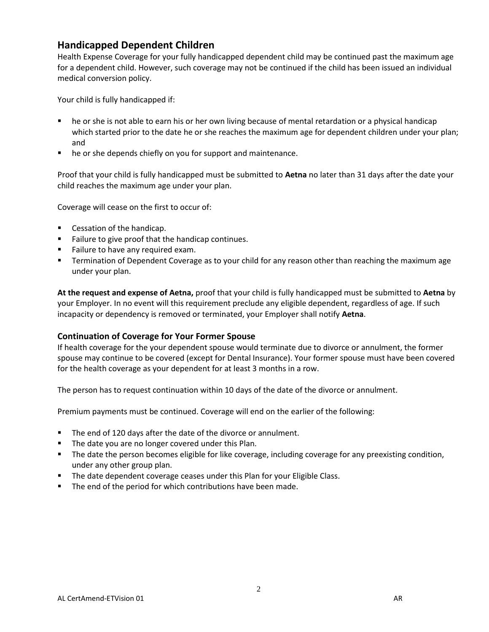### **Handicapped Dependent Children**

Health Expense Coverage for your fully handicapped dependent child may be continued past the maximum age for a dependent child. However, such coverage may not be continued if the child has been issued an individual medical conversion policy.

Your child is fully handicapped if:

- he or she is not able to earn his or her own living because of mental retardation or a physical handicap which started prior to the date he or she reaches the maximum age for dependent children under your plan; and
- he or she depends chiefly on you for support and maintenance.

Proof that your child is fully handicapped must be submitted to **Aetna** no later than 31 days after the date your child reaches the maximum age under your plan.

Coverage will cease on the first to occur of:

- **Cessation of the handicap.**
- Failure to give proof that the handicap continues.
- **Failure to have any required exam.**
- **Termination of Dependent Coverage as to your child for any reason other than reaching the maximum age** under your plan.

**At the request and expense of Aetna,** proof that your child is fully handicapped must be submitted to **Aetna** by your Employer. In no event will this requirement preclude any eligible dependent, regardless of age. If such incapacity or dependency is removed or terminated, your Employer shall notify **Aetna**.

### **Continuation of Coverage for Your Former Spouse**

If health coverage for the your dependent spouse would terminate due to divorce or annulment, the former spouse may continue to be covered (except for Dental Insurance). Your former spouse must have been covered for the health coverage as your dependent for at least 3 months in a row.

The person has to request continuation within 10 days of the date of the divorce or annulment.

Premium payments must be continued. Coverage will end on the earlier of the following:

- The end of 120 days after the date of the divorce or annulment.
- **The date you are no longer covered under this Plan.**
- **The date the person becomes eligible for like coverage, including coverage for any preexisting condition,** under any other group plan.
- **The date dependent coverage ceases under this Plan for your Eligible Class.**
- The end of the period for which contributions have been made.